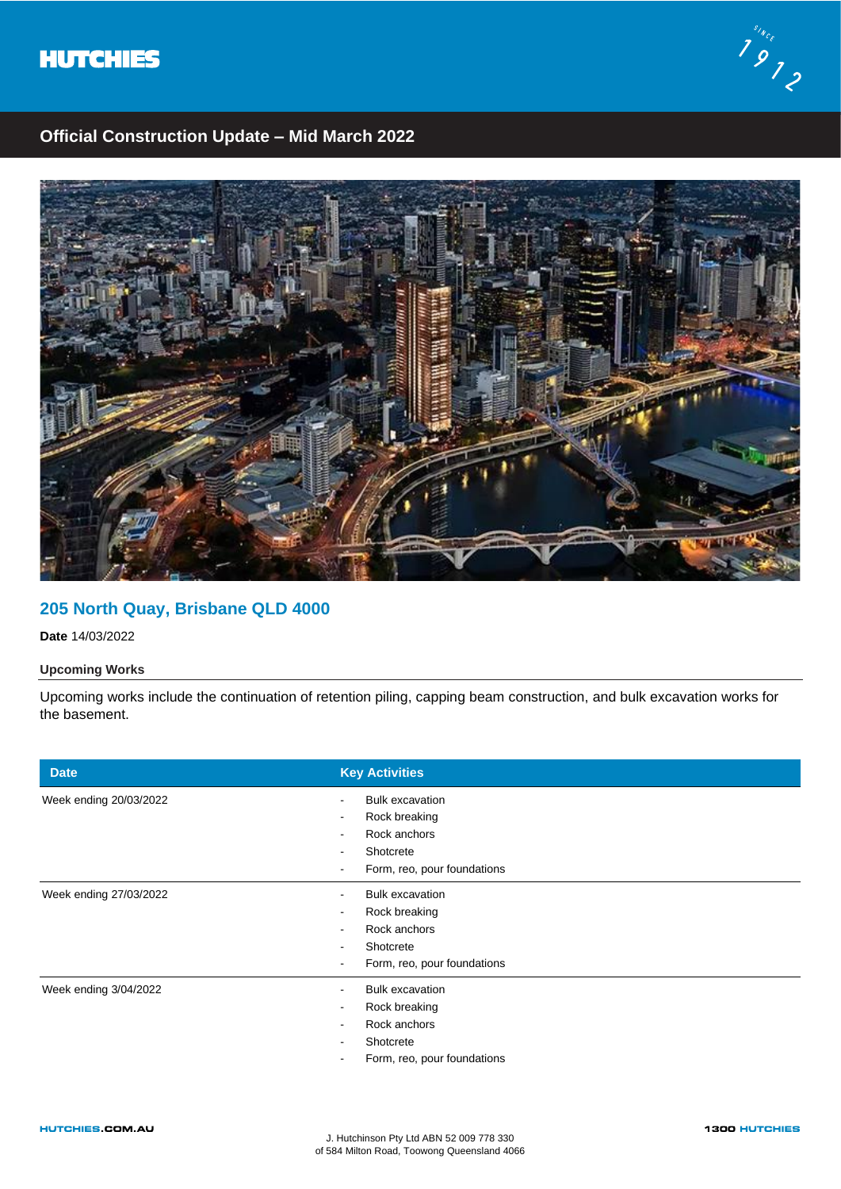



# **Official Construction Update – Mid March 2022**



### **205 North Quay, Brisbane QLD 4000**

**Date** 14/03/2022

### **Upcoming Works**

Upcoming works include the continuation of retention piling, capping beam construction, and bulk excavation works for the basement.

| <b>Date</b>            | <b>Key Activities</b>                                                                                         |
|------------------------|---------------------------------------------------------------------------------------------------------------|
| Week ending 20/03/2022 | <b>Bulk excavation</b><br>Rock breaking<br>٠<br>Rock anchors<br>Shotcrete<br>Form, reo, pour foundations      |
| Week ending 27/03/2022 | <b>Bulk excavation</b><br>$\sim$<br>Rock breaking<br>Rock anchors<br>Shotcrete<br>Form, reo, pour foundations |
| Week ending 3/04/2022  | <b>Bulk excavation</b><br>Rock breaking<br>$\sim$<br>Rock anchors<br>Shotcrete<br>Form, reo, pour foundations |